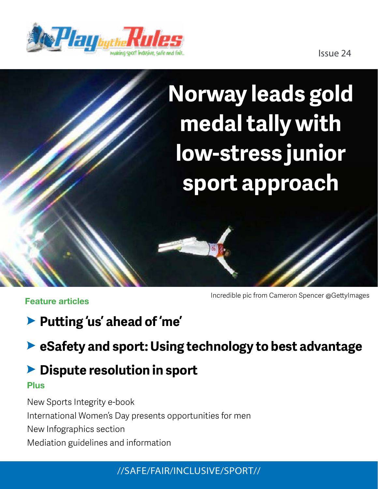

Issue 24

# **Norway leads gold medal tally with low-stress junior sport approach**

**Feature articles**

Incredible pic from Cameron Spencer @GettyImages

**Putting 'us' ahead of 'me'**

**eSafety and sport: Using technology to best advantage**

### **Dispute resolution in sport**

#### **Plus**

New Sports Integrity e-book International Women's Day presents opportunities for men New Infographics section Mediation guidelines and information

//SAFE/FAIR/INCLUSIVE/SPORT//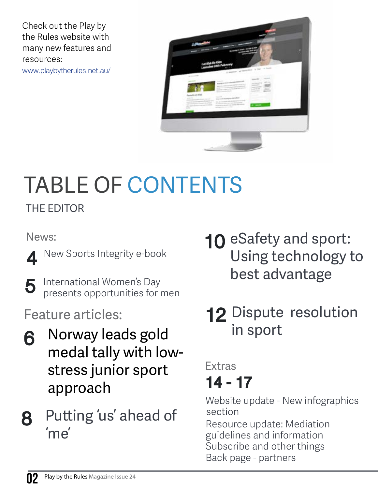Check out the Play by the Rules website with many new features and resources: [www.playbytherules.net.au/](http://www.playbytherules.net.au/)



# TABLE OF CONTENTS

THE EDITOR

News:

- 4 New Sports Integrity e-book
- 5 International Women's Day presents opportunities for men

Feature articles:

- Norway leads gold medal tally with lowstress junior sport approach 6
- Putting 'us' ahead of 'me' 8
- **10 eSafety and sport:** Using technology to best advantage
- 12 Dispute resolution in sport

### 14 - 17 Extras

Website update - New infographics section

Resource update: Mediation guidelines and information Subscribe and other things [Back page - partners](#page-16-0)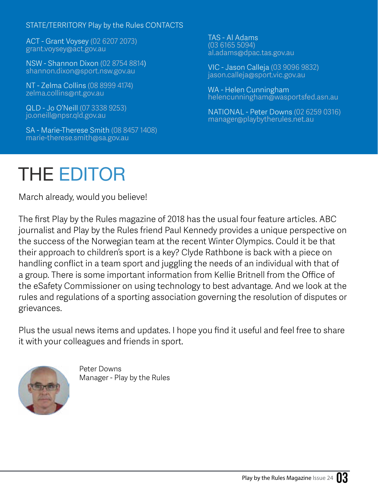#### STATE/TERRITORY Play by the Rules CONTACTS

ACT - Grant Voysey (02 6207 2073) grant.voysey@act.gov.au

NSW - Shannon Dixon (02 8754 8814) shannon.dixon@sport.nsw.gov.au

NT - Zelma Collins (08 8999 4174) zelma.collins@nt.gov.au

QLD - Jo O'Neill (07 3338 9253) jo.oneill@npsr.qld.gov.au

SA - Marie-Therese Smith (08 8457 1408) marie-therese.smith@sa.gov.au

TAS - Al Adams (03 6165 5094) al.adams@dpac.tas.gov.au

VIC - Jason Calleja (03 9096 9832) jason.calleja@sport.vic.gov.au

WA - Helen Cunningham helencunningham@wasportsfed.asn.au

NATIONAL - Peter Downs (02 6259 0316) manager@playbytherules.net.au

## THE EDITOR

March already, would you believe!

The first Play by the Rules magazine of 2018 has the usual four feature articles. ABC journalist and Play by the Rules friend Paul Kennedy provides a unique perspective on the success of the Norwegian team at the recent Winter Olympics. Could it be that their approach to children's sport is a key? Clyde Rathbone is back with a piece on handling conflict in a team sport and juggling the needs of an individual with that of a group. There is some important information from Kellie Britnell from the Office of the eSafety Commissioner on using technology to best advantage. And we look at the rules and regulations of a sporting association governing the resolution of disputes or grievances.

Plus the usual news items and updates. I hope you find it useful and feel free to share it with your colleagues and friends in sport.



Peter Downs Manager - Play by the Rules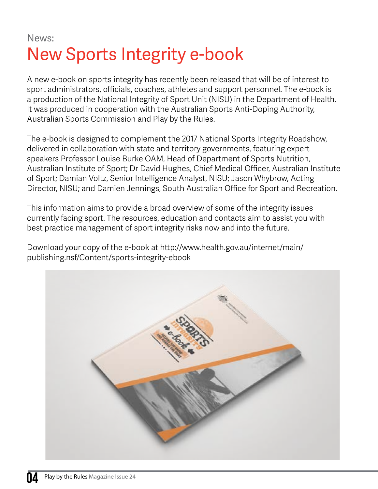News:

## New Sports Integrity e-book

A new e-book on sports integrity has recently been released that will be of interest to sport administrators, officials, coaches, athletes and support personnel. The e-book is a production of the National Integrity of Sport Unit (NISU) in the Department of Health. It was produced in cooperation with the Australian Sports Anti-Doping Authority, Australian Sports Commission and Play by the Rules.

The e-book is designed to complement the 2017 National Sports Integrity Roadshow, delivered in collaboration with state and territory governments, featuring expert speakers Professor Louise Burke OAM, Head of Department of Sports Nutrition, Australian Institute of Sport; Dr David Hughes, Chief Medical Officer, Australian Institute of Sport; Damian Voltz, Senior Intelligence Analyst, NISU; Jason Whybrow, Acting Director, NISU; and Damien Jennings, South Australian Office for Sport and Recreation.

This information aims to provide a broad overview of some of the integrity issues currently facing sport. The resources, education and contacts aim to assist you with best practice management of sport integrity risks now and into the future.

Download your copy of the e-book at [http://www.health.gov.au/internet/main/](http://www.health.gov.au/internet/main/publishing.nsf/Content/sports-integrity-ebook) [publishing.nsf/Content/sports-integrity-ebook](http://www.health.gov.au/internet/main/publishing.nsf/Content/sports-integrity-ebook)

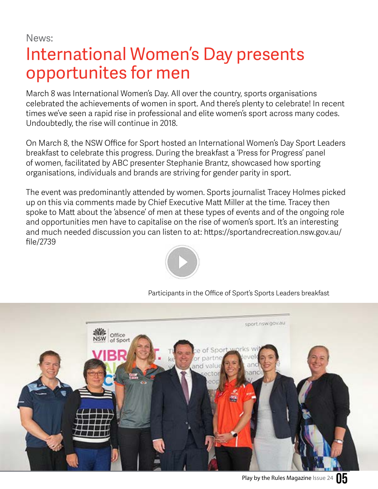News:

### International Women's Day presents opportunites for men

March 8 was International Women's Day. All over the country, sports organisations celebrated the achievements of women in sport. And there's plenty to celebrate! In recent times we've seen a rapid rise in professional and elite women's sport across many codes. Undoubtedly, the rise will continue in 2018.

On March 8, the NSW Office for Sport hosted an International Women's Day Sport Leaders breakfast to celebrate this progress. During the breakfast a 'Press for Progress' panel of women, facilitated by ABC presenter Stephanie Brantz, showcased how sporting organisations, individuals and brands are striving for gender parity in sport.

The event was predominantly attended by women. Sports journalist Tracey Holmes picked up on this via comments made by Chief Executive Matt Miller at the time. Tracey then spoke to Matt about the 'absence' of men at these types of events and of the ongoing role and opportunities men have to capitalise on the rise of women's sport. It's an interesting and much needed discussion you can listen to at: [https://sportandrecreation.nsw.gov.au/](https://sportandrecreation.nsw.gov.au/file/2739
) [file/2739](https://sportandrecreation.nsw.gov.au/file/2739
)



Participants in the Office of Sport's Sports Leaders breakfast

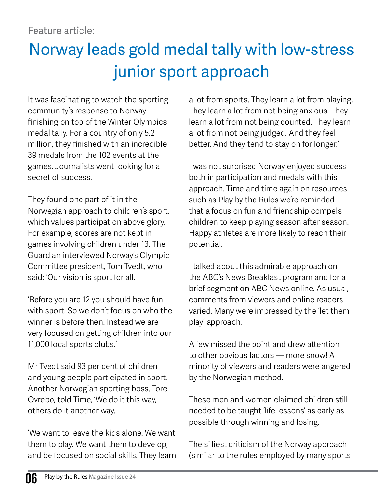### Norway leads gold medal tally with low-stress junior sport approach

It was fascinating to watch the sporting community's response to Norway finishing on top of the Winter Olympics medal tally. For a country of only 5.2 million, they finished with an incredible 39 medals from the 102 events at the games. Journalists went looking for a secret of success.

They found one part of it in the Norwegian approach to children's sport, which values participation above glory. For example, scores are not kept in games involving children under 13. The Guardian interviewed Norway's Olympic Committee president, Tom Tvedt, who said: 'Our vision is sport for all.

'Before you are 12 you should have fun with sport. So we don't focus on who the winner is before then. Instead we are very focused on getting children into our 11,000 local sports clubs.'

Mr Tvedt said 93 per cent of children and young people participated in sport. Another Norwegian sporting boss, Tore Ovrebo, told Time, 'We do it this way, others do it another way.

'We want to leave the kids alone. We want them to play. We want them to develop, and be focused on social skills. They learn a lot from sports. They learn a lot from playing. They learn a lot from not being anxious. They learn a lot from not being counted. They learn a lot from not being judged. And they feel better. And they tend to stay on for longer.'

I was not surprised Norway enjoyed success both in participation and medals with this approach. Time and time again on resources such as Play by the Rules we're reminded that a focus on fun and friendship compels children to keep playing season after season. Happy athletes are more likely to reach their potential.

I talked about this admirable approach on the ABC's News Breakfast program and for a brief segment on ABC News online. As usual, comments from viewers and online readers varied. Many were impressed by the 'let them play' approach.

A few missed the point and drew attention to other obvious factors — more snow! A minority of viewers and readers were angered by the Norwegian method.

These men and women claimed children still needed to be taught 'life lessons' as early as possible through winning and losing.

The silliest criticism of the Norway approach (similar to the rules employed by many sports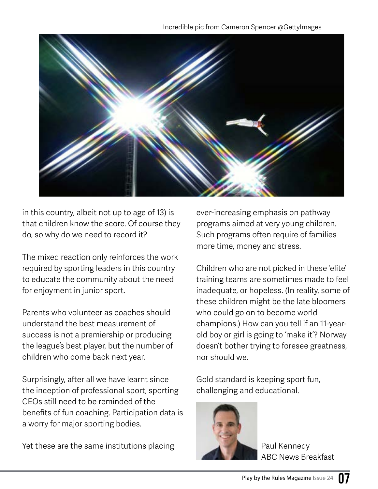

in this country, albeit not up to age of 13) is that children know the score. Of course they do, so why do we need to record it?

The mixed reaction only reinforces the work required by sporting leaders in this country to educate the community about the need for enjoyment in junior sport.

Parents who volunteer as coaches should understand the best measurement of success is not a premiership or producing the league's best player, but the number of children who come back next year.

Surprisingly, after all we have learnt since the inception of professional sport, sporting CEOs still need to be reminded of the benefits of fun coaching. Participation data is a worry for major sporting bodies.

Yet these are the same institutions placing

ever-increasing emphasis on pathway programs aimed at very young children. Such programs often require of families more time, money and stress.

Children who are not picked in these 'elite' training teams are sometimes made to feel inadequate, or hopeless. (In reality, some of these children might be the late bloomers who could go on to become world champions.) How can you tell if an 11-yearold boy or girl is going to 'make it'? Norway doesn't bother trying to foresee greatness, nor should we.

Gold standard is keeping sport fun, challenging and educational.



Paul Kennedy ABC News Breakfast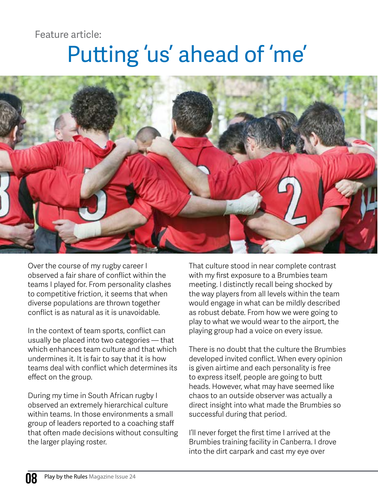Feature article:

# Putting 'us' ahead of 'me'



Over the course of my rugby career I observed a fair share of conflict within the teams I played for. From personality clashes to competitive friction, it seems that when diverse populations are thrown together conflict is as natural as it is unavoidable.

In the context of team sports, conflict can usually be placed into two categories — that which enhances team culture and that which undermines it. It is fair to say that it is how teams deal with conflict which determines its effect on the group.

During my time in South African rugby I observed an extremely hierarchical culture within teams. In those environments a small group of leaders reported to a coaching staff that often made decisions without consulting the larger playing roster.

That culture stood in near complete contrast with my first exposure to a Brumbies team meeting. I distinctly recall being shocked by the way players from all levels within the team would engage in what can be mildly described as robust debate. From how we were going to play to what we would wear to the airport, the playing group had a voice on every issue.

There is no doubt that the culture the Brumbies developed invited conflict. When every opinion is given airtime and each personality is free to express itself, people are going to butt heads. However, what may have seemed like chaos to an outside observer was actually a direct insight into what made the Brumbies so successful during that period.

I'll never forget the first time I arrived at the Brumbies training facility in Canberra. I drove into the dirt carpark and cast my eye over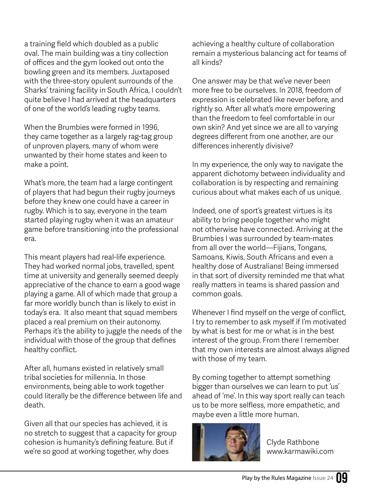a training field which doubled as a public oval. The main building was a tiny collection of offices and the gym looked out onto the bowling green and its members. Juxtaposed with the three-story opulent surrounds of the Sharks' training facility in South Africa, I couldn't quite believe I had arrived at the headquarters of one of the world's leading rugby teams.

When the Brumbies were formed in 1996, they came together as a largely rag-tag group of unproven players, many of whom were unwanted by their home states and keen to make a point.

What's more, the team had a large contingent of players that had begun their rugby journeys before they knew one could have a career in rugby. Which is to say, everyone in the team started playing rugby when it was an amateur game before transitioning into the professional era.

This meant players had real-life experience. They had worked normal jobs, travelled, spent time at university and generally seemed deeply appreciative of the chance to earn a good wage playing a game. All of which made that group a far more worldly bunch than is likely to exist in today's era. It also meant that squad members placed a real premium on their autonomy. Perhaps it's the ability to juggle the needs of the individual with those of the group that defines healthy conflict.

After all, humans existed in relatively small tribal societies for millennia. In those environments, being able to work together could literally be the difference between life and death.

Given all that our species has achieved, it is no stretch to suggest that a capacity for group cohesion is humanity's defining feature. But if we're so good at working together, why does

achieving a healthy culture of collaboration remain a mysterious balancing act for teams of all kinds?

One answer may be that we've never been more free to be ourselves. In 2018, freedom of expression is celebrated like never before, and rightly so. After all what's more empowering than the freedom to feel comfortable in our own skin? And yet since we are all to varying degrees different from one another, are our differences inherently divisive?

In my experience, the only way to navigate the apparent dichotomy between individuality and collaboration is by respecting and remaining curious about what makes each of us unique.

Indeed, one of sport's greatest virtues is its ability to bring people together who might not otherwise have connected. Arriving at the Brumbies I was surrounded by team-mates from all over the world—Fijians, Tongans, Samoans, Kiwis, South Africans and even a healthy dose of Australians! Being immersed in that sort of diversity reminded me that what really matters in teams is shared passion and common goals.

Whenever I find myself on the verge of conflict, I try to remember to ask myself if I'm motivated by what is best for me or what is in the best interest of the group. From there I remember that my own interests are almost always aligned with those of my team.

By coming together to attempt something bigger than ourselves we can learn to put 'us' ahead of 'me'. In this way sport really can teach us to be more selfless, more empathetic, and maybe even a little more human.



Clyde Rathbone www.karmawiki.com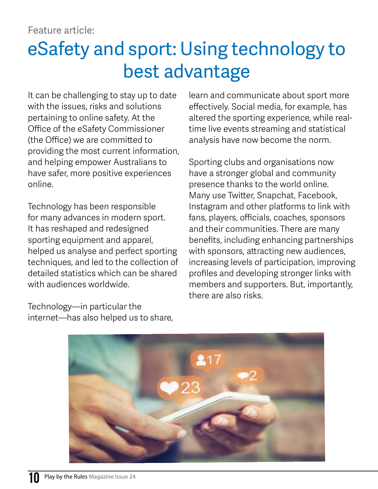## eSafety and sport: Using technology to best advantage

It can be challenging to stay up to date with the issues, risks and solutions pertaining to online safety. At the Office of the eSafety Commissioner (the Office) we are committed to providing the most current information, and helping empower Australians to have safer, more positive experiences online.

Technology has been responsible for many advances in modern sport. It has reshaped and redesigned sporting equipment and apparel, helped us analyse and perfect sporting techniques, and led to the collection of detailed statistics which can be shared with audiences worldwide.

Technology—in particular the internet—has also helped us to share, learn and communicate about sport more effectively. Social media, for example, has altered the sporting experience, while realtime live events streaming and statistical analysis have now become the norm.

Sporting clubs and organisations now have a stronger global and community presence thanks to the world online. Many use Twitter, Snapchat, Facebook, Instagram and other platforms to link with fans, players, officials, coaches, sponsors and their communities. There are many benefits, including enhancing partnerships with sponsors, attracting new audiences, increasing levels of participation, improving profiles and developing stronger links with members and supporters. But, importantly, there are also risks.

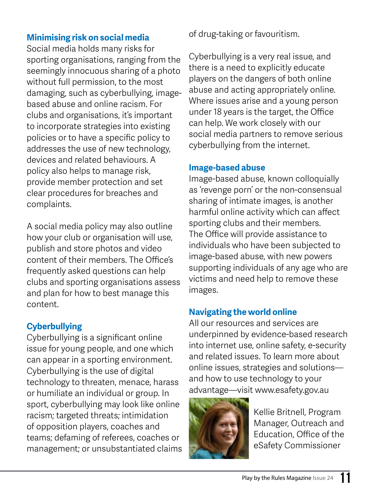#### **Minimising risk on social media**

Social media holds many risks for sporting organisations, ranging from the seemingly innocuous sharing of a photo without full permission, to the most damaging, such as cyberbullying, imagebased abuse and online racism. For clubs and organisations, it's important to incorporate strategies into existing policies or to have a specific policy to addresses the use of new technology, devices and related behaviours. A policy also helps to manage risk, provide member protection and set clear procedures for breaches and complaints.

A social media policy may also outline how your club or organisation will use, publish and store photos and video content of their members. The Office's frequently asked questions can help clubs and sporting organisations assess and plan for how to best manage this content.

#### **Cyberbullying**

Cyberbullying is a significant online issue for young people, and one which can appear in a sporting environment. Cyberbullying is the use of digital technology to threaten, menace, harass or humiliate an individual or group. In sport, cyberbullying may look like online racism; targeted threats; intimidation of opposition players, coaches and teams; defaming of referees, coaches or management; or unsubstantiated claims of drug-taking or favouritism.

Cyberbullying is a very real issue, and there is a need to explicitly educate players on the dangers of both online abuse and acting appropriately online. Where issues arise and a young person under 18 years is the target, the Office can help. We work closely with our social media partners to remove serious cyberbullying from the internet.

#### **Image-based abuse**

Image-based abuse, known colloquially as 'revenge porn' or the non-consensual sharing of intimate images, is another harmful online activity which can affect sporting clubs and their members. The Office will provide assistance to individuals who have been subjected to image-based abuse, with new powers supporting individuals of any age who are victims and need help to remove these images.

#### **Navigating the world online**

All our resources and services are underpinned by evidence-based research into internet use, online safety, e-security and related issues. To learn more about online issues, strategies and solutions and how to use technology to your advantage—visit www.esafety.gov.au



Kellie Britnell, Program Manager, Outreach and Education, Office of the eSafety Commissioner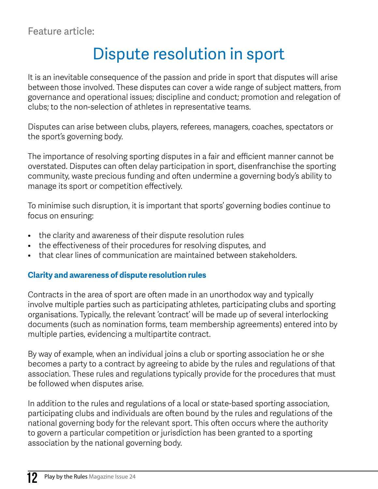### Dispute resolution in sport

It is an inevitable consequence of the passion and pride in sport that disputes will arise between those involved. These disputes can cover a wide range of subject matters, from governance and operational issues; discipline and conduct; promotion and relegation of clubs; to the non-selection of athletes in representative teams.

Disputes can arise between clubs, players, referees, managers, coaches, spectators or the sport's governing body.

The importance of resolving sporting disputes in a fair and efficient manner cannot be overstated. Disputes can often delay participation in sport, disenfranchise the sporting community, waste precious funding and often undermine a governing body's ability to manage its sport or competition effectively.

To minimise such disruption, it is important that sports' governing bodies continue to focus on ensuring:

- the clarity and awareness of their dispute resolution rules
- the effectiveness of their procedures for resolving disputes, and
- that clear lines of communication are maintained between stakeholders.

#### **Clarity and awareness of dispute resolution rules**

Contracts in the area of sport are often made in an unorthodox way and typically involve multiple parties such as participating athletes, participating clubs and sporting organisations. Typically, the relevant 'contract' will be made up of several interlocking documents (such as nomination forms, team membership agreements) entered into by multiple parties, evidencing a multipartite contract.

By way of example, when an individual joins a club or sporting association he or she becomes a party to a contract by agreeing to abide by the rules and regulations of that association. These rules and regulations typically provide for the procedures that must be followed when disputes arise.

In addition to the rules and regulations of a local or state-based sporting association, participating clubs and individuals are often bound by the rules and regulations of the national governing body for the relevant sport. This often occurs where the authority to govern a particular competition or jurisdiction has been granted to a sporting association by the national governing body.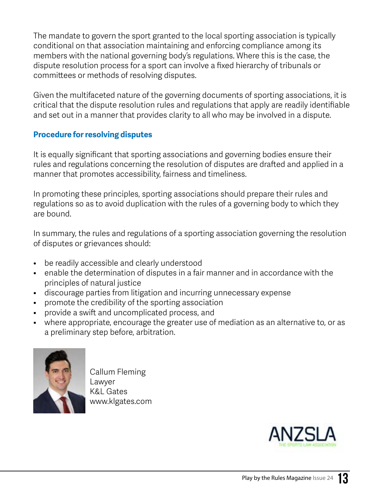The mandate to govern the sport granted to the local sporting association is typically conditional on that association maintaining and enforcing compliance among its members with the national governing body's regulations. Where this is the case, the dispute resolution process for a sport can involve a fixed hierarchy of tribunals or committees or methods of resolving disputes.

Given the multifaceted nature of the governing documents of sporting associations, it is critical that the dispute resolution rules and regulations that apply are readily identifiable and set out in a manner that provides clarity to all who may be involved in a dispute.

#### **Procedure for resolving disputes**

It is equally significant that sporting associations and governing bodies ensure their rules and regulations concerning the resolution of disputes are drafted and applied in a manner that promotes accessibility, fairness and timeliness.

In promoting these principles, sporting associations should prepare their rules and regulations so as to avoid duplication with the rules of a governing body to which they are bound.

In summary, the rules and regulations of a sporting association governing the resolution of disputes or grievances should:

- be readily accessible and clearly understood
- enable the determination of disputes in a fair manner and in accordance with the principles of natural justice
- discourage parties from litigation and incurring unnecessary expense
- promote the credibility of the sporting association
- provide a swift and uncomplicated process, and
- where appropriate, encourage the greater use of mediation as an alternative to, or as a preliminary step before, arbitration.



Callum Fleming Lawyer K&L Gates www.klgates.com

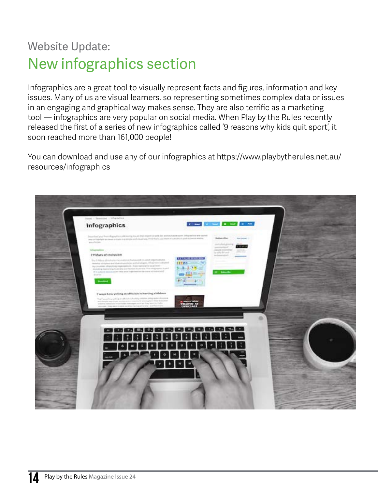### Website Update: New infographics section

Infographics are a great tool to visually represent facts and figures, information and key issues. Many of us are visual learners, so representing sometimes complex data or issues in an engaging and graphical way makes sense. They are also terrific as a marketing tool — infographics are very popular on social media. When Play by the Rules recently released the first of a series of new infographics called '9 reasons why kids quit sport', it soon reached more than 161,000 people!

You can download and use any of our infographics at [https://www.playbytherules.net.au/](https://www.playbytherules.net.au/resources/infographics) [resources/infographics](https://www.playbytherules.net.au/resources/infographics)

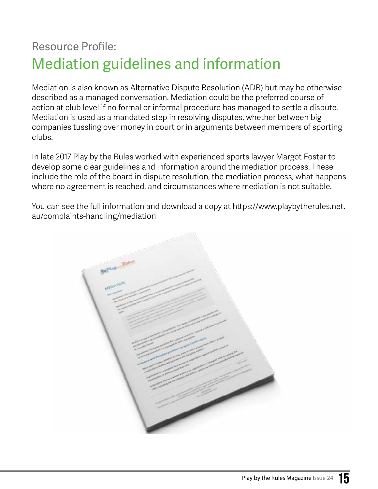### Resource Profile: Mediation guidelines and information

Mediation is also known as Alternative Dispute Resolution (ADR) but may be otherwise described as a managed conversation. Mediation could be the preferred course of action at club level if no formal or informal procedure has managed to settle a dispute. Mediation is used as a mandated step in resolving disputes, whether between big companies tussling over money in court or in arguments between members of sporting clubs.

In late 2017 Play by the Rules worked with experienced sports lawyer Margot Foster to develop some clear guidelines and information around the mediation process. These include the role of the board in dispute resolution, the mediation process, what happens where no agreement is reached, and circumstances where mediation is not suitable.

You can see the full information and download a copy at [https://www.playbytherules.net.](https://www.playbytherules.net.au/complaints-handling/mediation) [au/complaints-handling/mediation](https://www.playbytherules.net.au/complaints-handling/mediation) 

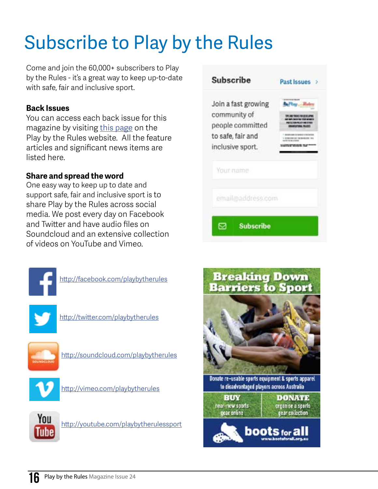# Subscribe to Play by the Rules

Come and join the 60,000+ subscribers to Play by the Rules - it's a great way to keep up-to-date with safe, fair and inclusive sport.

#### **Back Issues**

You can access each back issue for this magazine by visiting [this page](https://www.playbytherules.net.au/magazines) on the Play by the Rules website. All the feature articles and significant news items are listed here.

#### **Share and spread the word**

One easy way to keep up to date and support safe, fair and inclusive sport is to share Play by the Rules across social media. We post every day on Facebook and Twitter and have audio files on Soundcloud and an extensive collection of videos on YouTube and Vimeo.



<http://facebook.com/playbytherules>



<http://twitter.com/playbytherules>



<http://soundcloud.com/playbytherules>







<http://youtube.com/playbytherulessport>